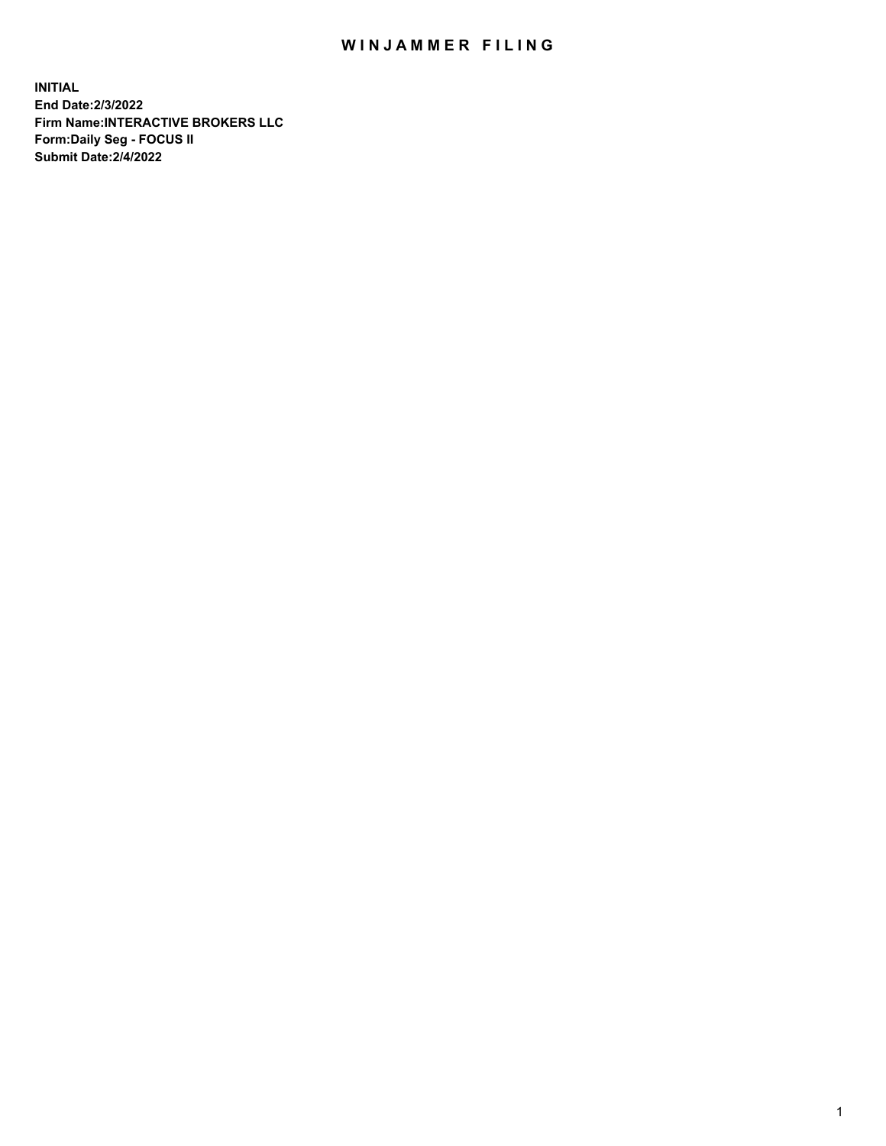## WIN JAMMER FILING

**INITIAL End Date:2/3/2022 Firm Name:INTERACTIVE BROKERS LLC Form:Daily Seg - FOCUS II Submit Date:2/4/2022**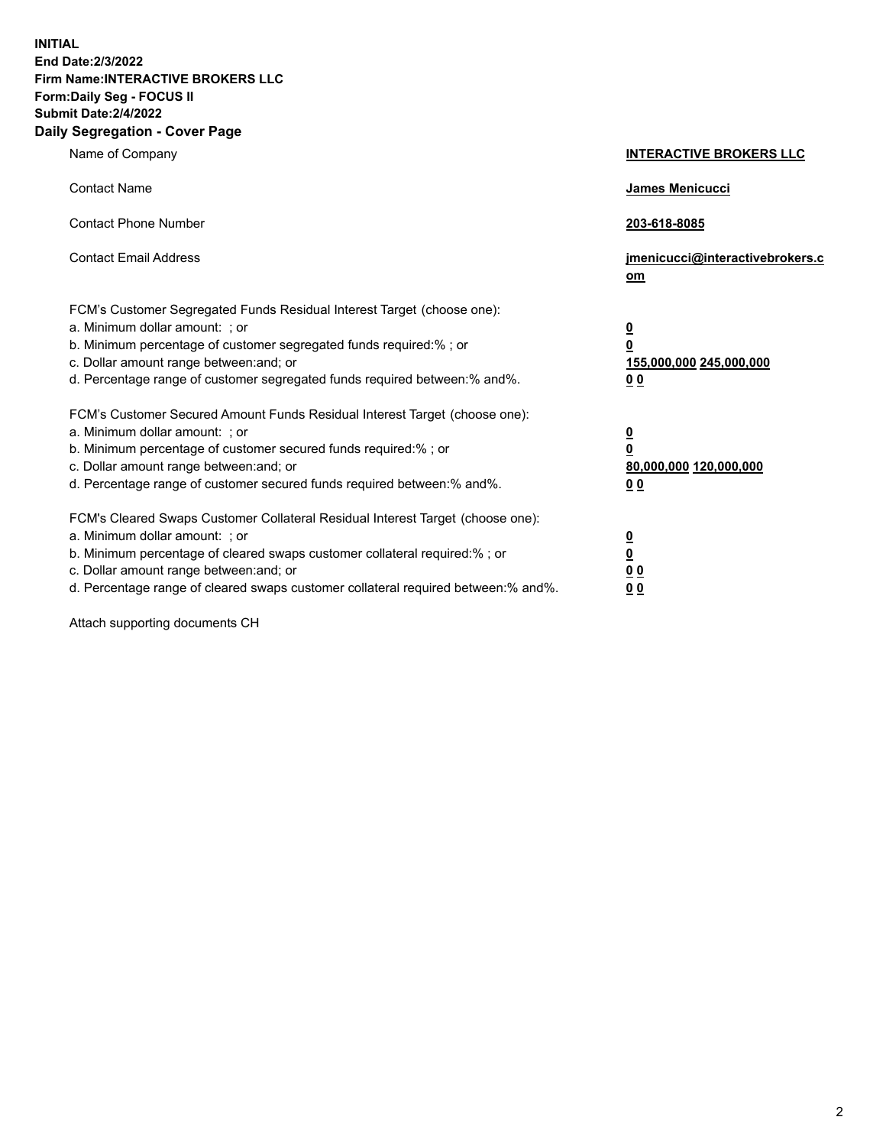**INITIAL End Date:2/3/2022 Firm Name:INTERACTIVE BROKERS LLC Form:Daily Seg - FOCUS II Submit Date:2/4/2022 Daily Segregation - Cover Page**

| Name of Company                                                                                                                                                                                                                                                                                                                | <b>INTERACTIVE BROKERS LLC</b>                                                                 |
|--------------------------------------------------------------------------------------------------------------------------------------------------------------------------------------------------------------------------------------------------------------------------------------------------------------------------------|------------------------------------------------------------------------------------------------|
| <b>Contact Name</b>                                                                                                                                                                                                                                                                                                            | James Menicucci                                                                                |
| <b>Contact Phone Number</b>                                                                                                                                                                                                                                                                                                    | 203-618-8085                                                                                   |
| <b>Contact Email Address</b>                                                                                                                                                                                                                                                                                                   | jmenicucci@interactivebrokers.c<br>om                                                          |
| FCM's Customer Segregated Funds Residual Interest Target (choose one):<br>a. Minimum dollar amount: ; or<br>b. Minimum percentage of customer segregated funds required:%; or<br>c. Dollar amount range between: and; or<br>d. Percentage range of customer segregated funds required between:% and%.                          | $\overline{\mathbf{0}}$<br>$\overline{\mathbf{0}}$<br>155,000,000 245,000,000<br>00            |
| FCM's Customer Secured Amount Funds Residual Interest Target (choose one):<br>a. Minimum dollar amount: ; or<br>b. Minimum percentage of customer secured funds required:% ; or<br>c. Dollar amount range between: and; or<br>d. Percentage range of customer secured funds required between:% and%.                           | $\overline{\mathbf{0}}$<br>$\overline{\mathbf{0}}$<br>80,000,000 120,000,000<br>0 <sub>0</sub> |
| FCM's Cleared Swaps Customer Collateral Residual Interest Target (choose one):<br>a. Minimum dollar amount: ; or<br>b. Minimum percentage of cleared swaps customer collateral required:% ; or<br>c. Dollar amount range between: and; or<br>d. Percentage range of cleared swaps customer collateral required between:% and%. | <u>0</u><br><u>0</u><br>0 <sub>0</sub><br>0 <sub>0</sub>                                       |

Attach supporting documents CH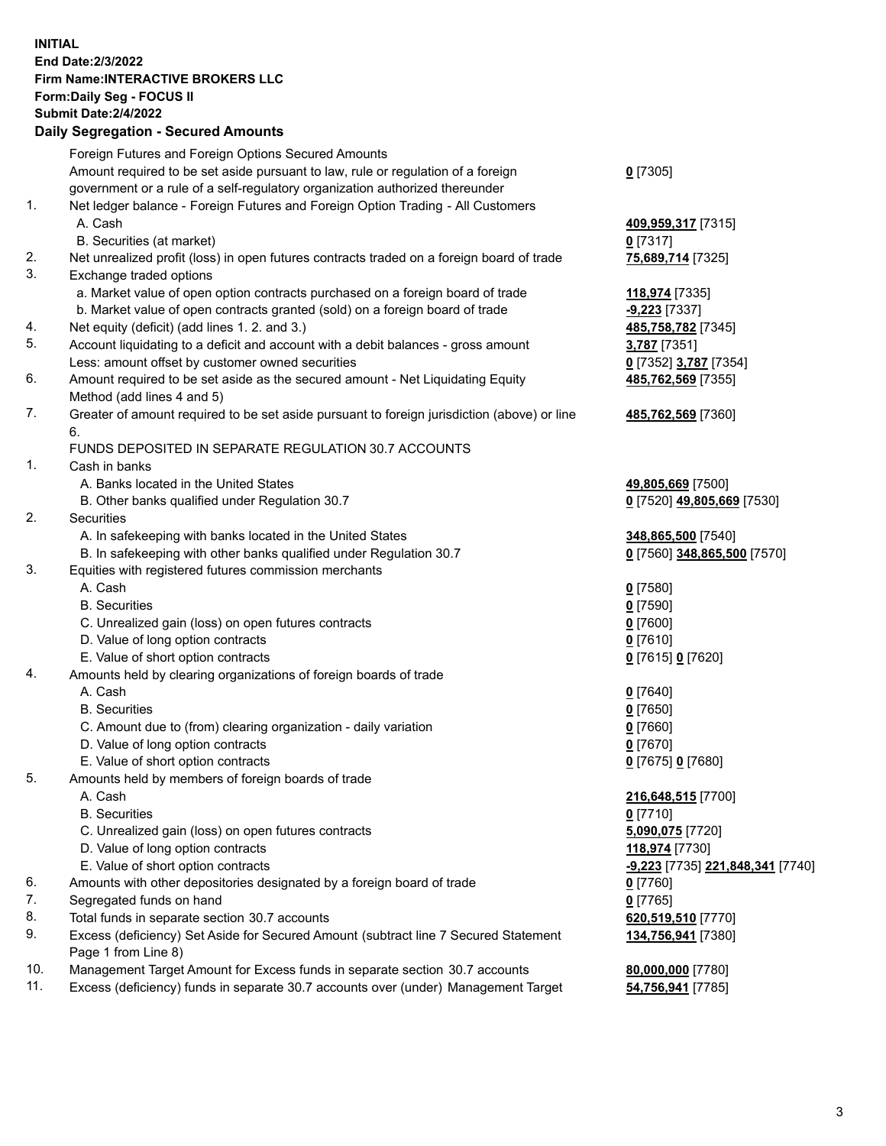**INITIAL End Date:2/3/2022 Firm Name:INTERACTIVE BROKERS LLC Form:Daily Seg - FOCUS II Submit Date:2/4/2022 Daily Segregation - Secured Amounts**

|     | Foreign Futures and Foreign Options Secured Amounts                                                        |                                                |
|-----|------------------------------------------------------------------------------------------------------------|------------------------------------------------|
|     | Amount required to be set aside pursuant to law, rule or regulation of a foreign                           | $0$ [7305]                                     |
|     | government or a rule of a self-regulatory organization authorized thereunder                               |                                                |
| 1.  | Net ledger balance - Foreign Futures and Foreign Option Trading - All Customers                            |                                                |
|     | A. Cash                                                                                                    | 409,959,317 [7315]                             |
|     | B. Securities (at market)                                                                                  | $0$ [7317]                                     |
| 2.  | Net unrealized profit (loss) in open futures contracts traded on a foreign board of trade                  | 75,689,714 [7325]                              |
| 3.  | Exchange traded options                                                                                    |                                                |
|     | a. Market value of open option contracts purchased on a foreign board of trade                             | 118,974 [7335]                                 |
|     | b. Market value of open contracts granted (sold) on a foreign board of trade                               | $-9,223$ [7337]                                |
| 4.  | Net equity (deficit) (add lines 1. 2. and 3.)                                                              | 485,758,782 [7345]                             |
| 5.  | Account liquidating to a deficit and account with a debit balances - gross amount                          | 3,787 [7351]                                   |
|     | Less: amount offset by customer owned securities                                                           | 0 [7352] 3,787 [7354]                          |
| 6.  | Amount required to be set aside as the secured amount - Net Liquidating Equity                             | 485,762,569 [7355]                             |
|     | Method (add lines 4 and 5)                                                                                 |                                                |
| 7.  | Greater of amount required to be set aside pursuant to foreign jurisdiction (above) or line<br>6.          | 485,762,569 [7360]                             |
|     | FUNDS DEPOSITED IN SEPARATE REGULATION 30.7 ACCOUNTS                                                       |                                                |
| 1.  | Cash in banks                                                                                              |                                                |
|     | A. Banks located in the United States                                                                      | 49,805,669 [7500]                              |
|     | B. Other banks qualified under Regulation 30.7                                                             | 0 [7520] 49,805,669 [7530]                     |
| 2.  | <b>Securities</b>                                                                                          |                                                |
|     | A. In safekeeping with banks located in the United States                                                  | 348,865,500 [7540]                             |
|     | B. In safekeeping with other banks qualified under Regulation 30.7                                         | 0 [7560] 348,865,500 [7570]                    |
| 3.  | Equities with registered futures commission merchants                                                      |                                                |
|     | A. Cash                                                                                                    | $0$ [7580]                                     |
|     | <b>B.</b> Securities                                                                                       | $0$ [7590]                                     |
|     | C. Unrealized gain (loss) on open futures contracts                                                        | $0$ [7600]                                     |
|     | D. Value of long option contracts                                                                          | $0$ [7610]                                     |
|     | E. Value of short option contracts                                                                         | 0 [7615] 0 [7620]                              |
| 4.  | Amounts held by clearing organizations of foreign boards of trade                                          |                                                |
|     | A. Cash                                                                                                    | $0$ [7640]                                     |
|     | <b>B.</b> Securities                                                                                       | $0$ [7650]                                     |
|     | C. Amount due to (from) clearing organization - daily variation                                            | $0$ [7660]                                     |
|     | D. Value of long option contracts                                                                          | $0$ [7670]                                     |
|     | E. Value of short option contracts                                                                         | 0 [7675] 0 [7680]                              |
| 5.  | Amounts held by members of foreign boards of trade                                                         |                                                |
|     | A. Cash                                                                                                    | 216,648,515 [7700]                             |
|     | <b>B.</b> Securities                                                                                       | $0$ [7710]                                     |
|     | C. Unrealized gain (loss) on open futures contracts                                                        | 5,090,075 [7720]                               |
|     | D. Value of long option contracts                                                                          | 118,974 [7730]                                 |
|     | E. Value of short option contracts                                                                         | <u>-9,223</u> [7735] <u>221,848,341</u> [7740] |
| 6.  | Amounts with other depositories designated by a foreign board of trade                                     | $0$ [7760]                                     |
| 7.  | Segregated funds on hand                                                                                   | $0$ [7765]                                     |
| 8.  | Total funds in separate section 30.7 accounts                                                              | 620,519,510 [7770]                             |
| 9.  | Excess (deficiency) Set Aside for Secured Amount (subtract line 7 Secured Statement<br>Page 1 from Line 8) | 134,756,941 [7380]                             |
| 10. | Management Target Amount for Excess funds in separate section 30.7 accounts                                | 80,000,000 [7780]                              |
| 11. | Excess (deficiency) funds in separate 30.7 accounts over (under) Management Target                         | 54,756,941 [7785]                              |
|     |                                                                                                            |                                                |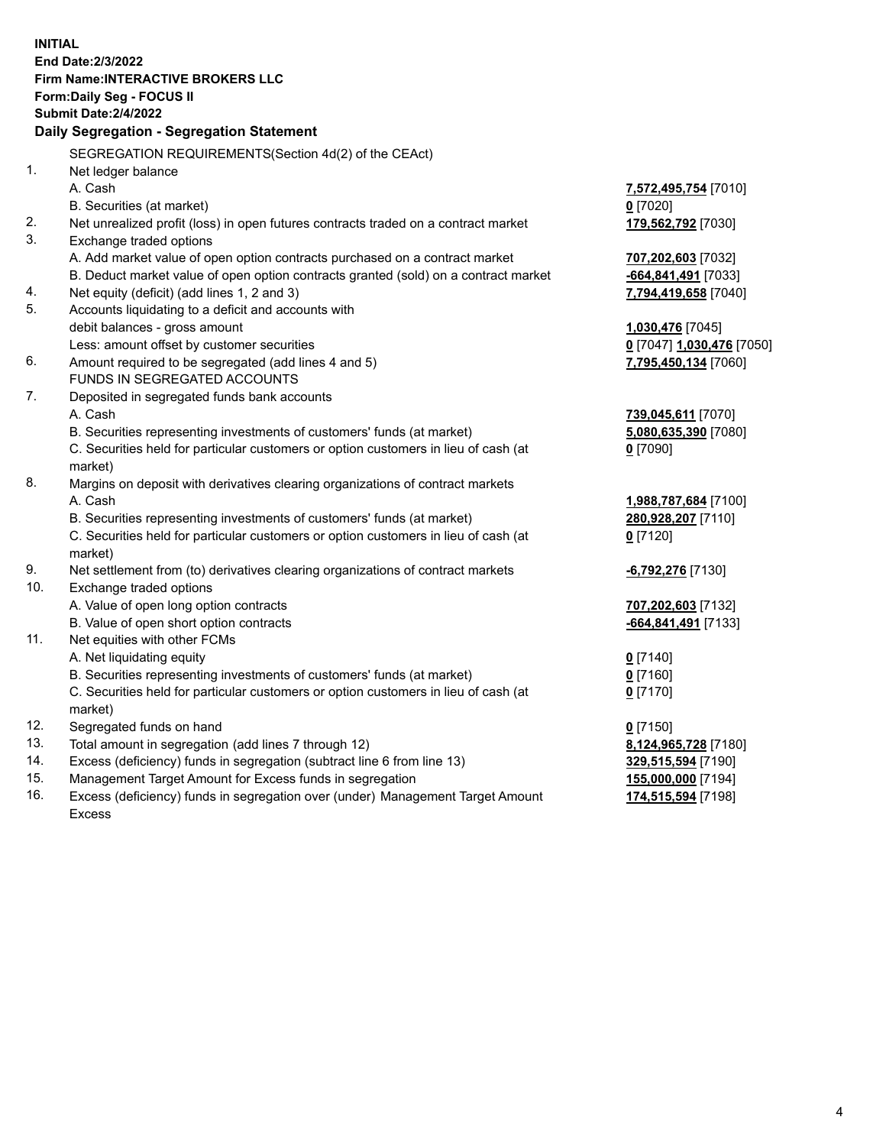**INITIAL End Date:2/3/2022 Firm Name:INTERACTIVE BROKERS LLC Form:Daily Seg - FOCUS II Submit Date:2/4/2022 Daily Segregation - Segregation Statement** SEGREGATION REQUIREMENTS(Section 4d(2) of the CEAct) 1. Net ledger balance A. Cash **7,572,495,754** [7010] B. Securities (at market) **0** [7020] 2. Net unrealized profit (loss) in open futures contracts traded on a contract market **179,562,792** [7030] 3. Exchange traded options A. Add market value of open option contracts purchased on a contract market **707,202,603** [7032] B. Deduct market value of open option contracts granted (sold) on a contract market **-664,841,491** [7033] 4. Net equity (deficit) (add lines 1, 2 and 3) **7,794,419,658** [7040] 5. Accounts liquidating to a deficit and accounts with debit balances - gross amount **1,030,476** [7045] Less: amount offset by customer securities **0** [7047] **1,030,476** [7050] 6. Amount required to be segregated (add lines 4 and 5) **7,795,450,134** [7060] FUNDS IN SEGREGATED ACCOUNTS 7. Deposited in segregated funds bank accounts A. Cash **739,045,611** [7070] B. Securities representing investments of customers' funds (at market) **5,080,635,390** [7080] C. Securities held for particular customers or option customers in lieu of cash (at market) **0** [7090] 8. Margins on deposit with derivatives clearing organizations of contract markets A. Cash **1,988,787,684** [7100] B. Securities representing investments of customers' funds (at market) **280,928,207** [7110] C. Securities held for particular customers or option customers in lieu of cash (at market) **0** [7120] 9. Net settlement from (to) derivatives clearing organizations of contract markets **-6,792,276** [7130] 10. Exchange traded options A. Value of open long option contracts **707,202,603** [7132] B. Value of open short option contracts **-664,841,491** [7133] 11. Net equities with other FCMs A. Net liquidating equity **0** [7140] B. Securities representing investments of customers' funds (at market) **0** [7160] C. Securities held for particular customers or option customers in lieu of cash (at market) **0** [7170] 12. Segregated funds on hand **0** [7150] 13. Total amount in segregation (add lines 7 through 12) **8,124,965,728** [7180] 14. Excess (deficiency) funds in segregation (subtract line 6 from line 13) **329,515,594** [7190] 15. Management Target Amount for Excess funds in segregation **155,000,000** [7194] 16. Excess (deficiency) funds in segregation over (under) Management Target Amount **174,515,594** [7198]

Excess